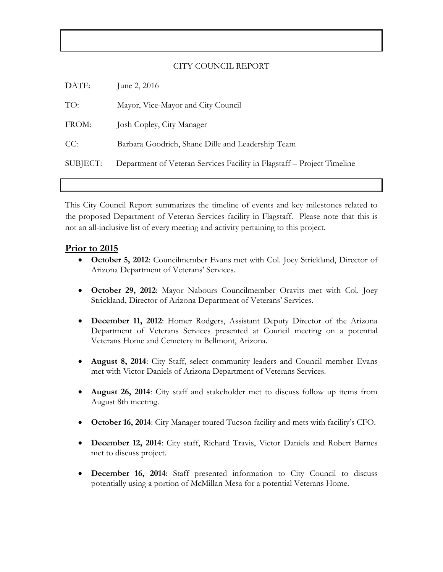#### CITY COUNCIL REPORT

| DATE:    | June 2, 2016                                                            |
|----------|-------------------------------------------------------------------------|
| TO:      | Mayor, Vice-Mayor and City Council                                      |
| FROM:    | Josh Copley, City Manager                                               |
| CC:      | Barbara Goodrich, Shane Dille and Leadership Team                       |
| SUBJECT: | Department of Veteran Services Facility in Flagstaff – Project Timeline |

This City Council Report summarizes the timeline of events and key milestones related to the proposed Department of Veteran Services facility in Flagstaff. Please note that this is not an all-inclusive list of every meeting and activity pertaining to this project.

#### **Prior to 2015**

- **October 5, 2012**: Councilmember Evans met with Col. Joey Strickland, Director of Arizona Department of Veterans' Services.
- **October 29, 2012**: Mayor Nabours Councilmember Oravits met with Col. Joey Strickland, Director of Arizona Department of Veterans' Services.
- **December 11, 2012**: Homer Rodgers, Assistant Deputy Director of the Arizona Department of Veterans Services presented at Council meeting on a potential Veterans Home and Cemetery in Bellmont, Arizona.
- **August 8, 2014**: City Staff, select community leaders and Council member Evans met with Victor Daniels of Arizona Department of Veterans Services.
- **August 26, 2014**: City staff and stakeholder met to discuss follow up items from August 8th meeting.
- **October 16, 2014**: City Manager toured Tucson facility and mets with facility's CFO.
- **December 12, 2014**: City staff, Richard Travis, Victor Daniels and Robert Barnes met to discuss project.
- **December 16, 2014**: Staff presented information to City Council to discuss potentially using a portion of McMillan Mesa for a potential Veterans Home.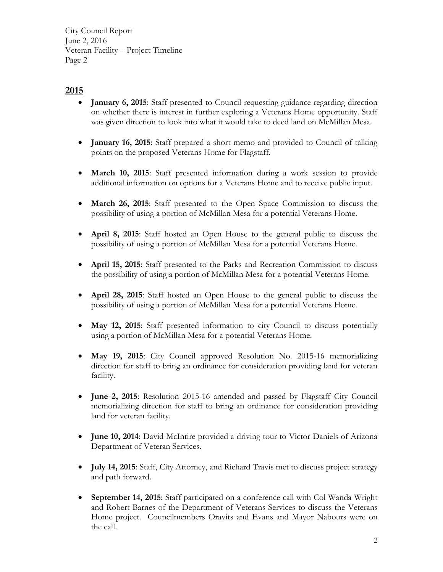City Council Report June 2, 2016 Veteran Facility – Project Timeline Page 2

# **2015**

- **January 6, 2015**: Staff presented to Council requesting guidance regarding direction on whether there is interest in further exploring a Veterans Home opportunity. Staff was given direction to look into what it would take to deed land on McMillan Mesa.
- **January 16, 2015**: Staff prepared a short memo and provided to Council of talking points on the proposed Veterans Home for Flagstaff.
- **March 10, 2015**: Staff presented information during a work session to provide additional information on options for a Veterans Home and to receive public input.
- **March 26, 2015**: Staff presented to the Open Space Commission to discuss the possibility of using a portion of McMillan Mesa for a potential Veterans Home.
- **April 8, 2015**: Staff hosted an Open House to the general public to discuss the possibility of using a portion of McMillan Mesa for a potential Veterans Home.
- **April 15, 2015**: Staff presented to the Parks and Recreation Commission to discuss the possibility of using a portion of McMillan Mesa for a potential Veterans Home.
- **April 28, 2015**: Staff hosted an Open House to the general public to discuss the possibility of using a portion of McMillan Mesa for a potential Veterans Home.
- **May 12, 2015**: Staff presented information to city Council to discuss potentially using a portion of McMillan Mesa for a potential Veterans Home.
- **May 19, 2015**: City Council approved Resolution No. 2015-16 memorializing direction for staff to bring an ordinance for consideration providing land for veteran facility.
- **June 2, 2015**: Resolution 2015-16 amended and passed by Flagstaff City Council memorializing direction for staff to bring an ordinance for consideration providing land for veteran facility.
- **June 10, 2014**: David McIntire provided a driving tour to Victor Daniels of Arizona Department of Veteran Services.
- **July 14, 2015**: Staff, City Attorney, and Richard Travis met to discuss project strategy and path forward.
- **September 14, 2015**: Staff participated on a conference call with Col Wanda Wright and Robert Barnes of the Department of Veterans Services to discuss the Veterans Home project. Councilmembers Oravits and Evans and Mayor Nabours were on the call.